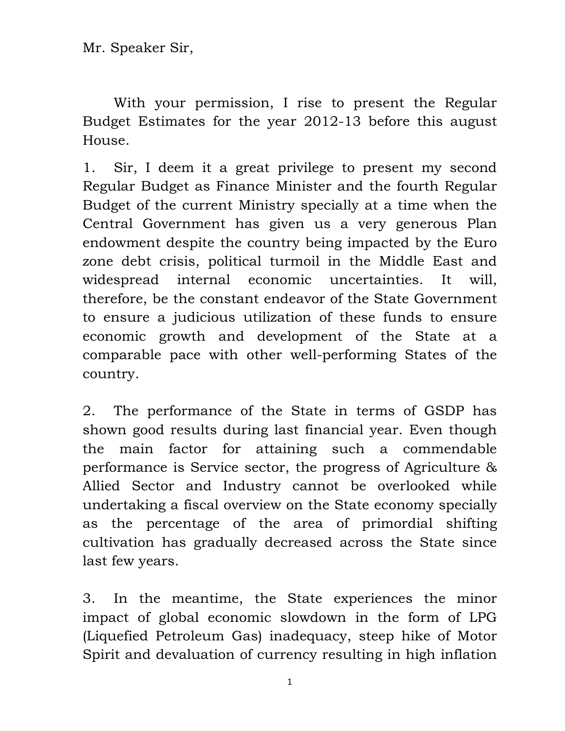Mr. Speaker Sir,

 With your permission, I rise to present the Regular Budget Estimates for the year 2012-13 before this august House.

1. Sir, I deem it a great privilege to present my second Regular Budget as Finance Minister and the fourth Regular Budget of the current Ministry specially at a time when the Central Government has given us a very generous Plan endowment despite the country being impacted by the Euro zone debt crisis, political turmoil in the Middle East and widespread internal economic uncertainties. It will, therefore, be the constant endeavor of the State Government to ensure a judicious utilization of these funds to ensure economic growth and development of the State at a comparable pace with other well-performing States of the country.

2. The performance of the State in terms of GSDP has shown good results during last financial year. Even though the main factor for attaining such a commendable performance is Service sector, the progress of Agriculture & Allied Sector and Industry cannot be overlooked while undertaking a fiscal overview on the State economy specially as the percentage of the area of primordial shifting cultivation has gradually decreased across the State since last few years.

3. In the meantime, the State experiences the minor impact of global economic slowdown in the form of LPG (Liquefied Petroleum Gas) inadequacy, steep hike of Motor Spirit and devaluation of currency resulting in high inflation

1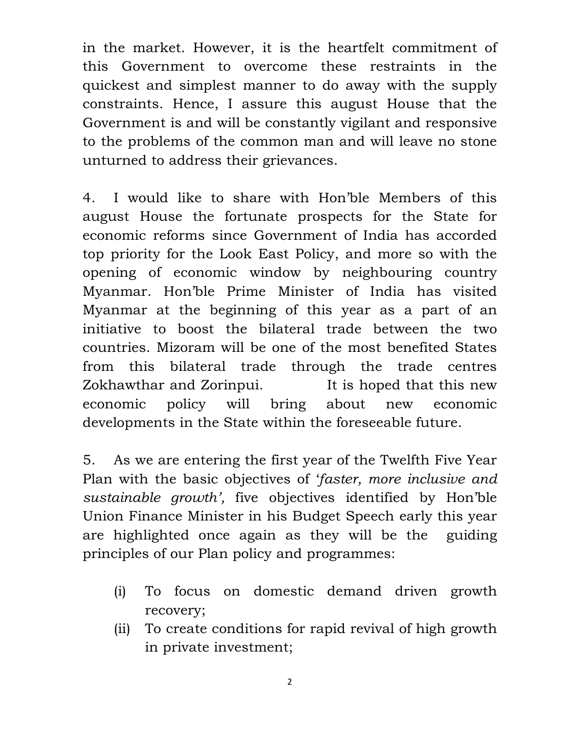in the market. However, it is the heartfelt commitment of this Government to overcome these restraints in the quickest and simplest manner to do away with the supply constraints. Hence, I assure this august House that the Government is and will be constantly vigilant and responsive to the problems of the common man and will leave no stone unturned to address their grievances.

4. I would like to share with Hon'ble Members of this august House the fortunate prospects for the State for economic reforms since Government of India has accorded top priority for the Look East Policy, and more so with the opening of economic window by neighbouring country Myanmar. Hon'ble Prime Minister of India has visited Myanmar at the beginning of this year as a part of an initiative to boost the bilateral trade between the two countries. Mizoram will be one of the most benefited States from this bilateral trade through the trade centres Zokhawthar and Zorinpui. It is hoped that this new economic policy will bring about new economic developments in the State within the foreseeable future.

5. As we are entering the first year of the Twelfth Five Year Plan with the basic objectives of 'faster, more inclusive and sustainable growth', five objectives identified by Hon'ble Union Finance Minister in his Budget Speech early this year are highlighted once again as they will be the guiding principles of our Plan policy and programmes:

- (i) To focus on domestic demand driven growth recovery;
- (ii) To create conditions for rapid revival of high growth in private investment;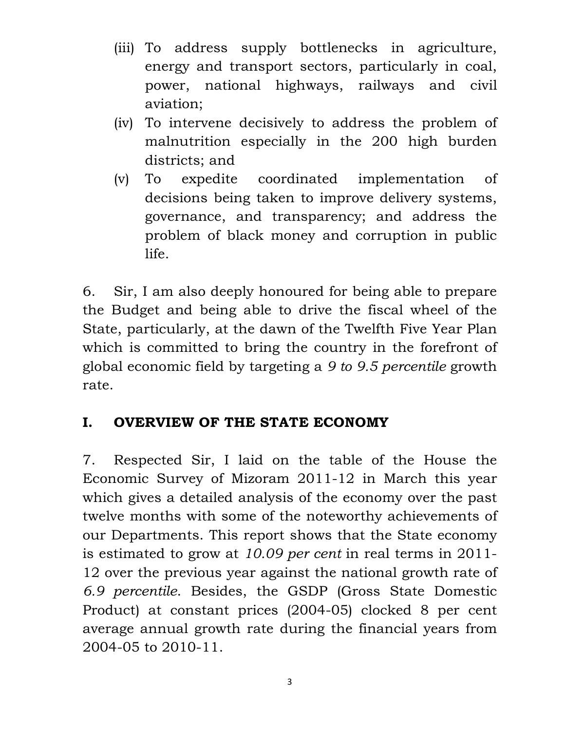- (iii) To address supply bottlenecks in agriculture, energy and transport sectors, particularly in coal, power, national highways, railways and civil aviation;
- (iv) To intervene decisively to address the problem of malnutrition especially in the 200 high burden districts; and
- (v) To expedite coordinated implementation of decisions being taken to improve delivery systems, governance, and transparency; and address the problem of black money and corruption in public life.

6. Sir, I am also deeply honoured for being able to prepare the Budget and being able to drive the fiscal wheel of the State, particularly, at the dawn of the Twelfth Five Year Plan which is committed to bring the country in the forefront of global economic field by targeting a 9 to 9.5 percentile growth rate.

## I. OVERVIEW OF THE STATE ECONOMY

7. Respected Sir, I laid on the table of the House the Economic Survey of Mizoram 2011-12 in March this year which gives a detailed analysis of the economy over the past twelve months with some of the noteworthy achievements of our Departments. This report shows that the State economy is estimated to grow at 10.09 per cent in real terms in 2011- 12 over the previous year against the national growth rate of 6.9 percentile. Besides, the GSDP (Gross State Domestic Product) at constant prices (2004-05) clocked 8 per cent average annual growth rate during the financial years from 2004-05 to 2010-11.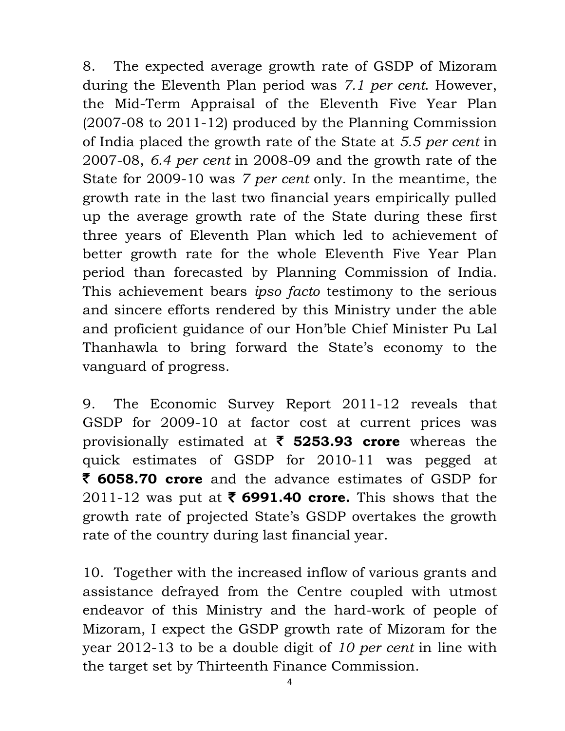8. The expected average growth rate of GSDP of Mizoram during the Eleventh Plan period was 7.1 per cent. However, the Mid-Term Appraisal of the Eleventh Five Year Plan (2007-08 to 2011-12) produced by the Planning Commission of India placed the growth rate of the State at 5.5 per cent in 2007-08, 6.4 per cent in 2008-09 and the growth rate of the State for 2009-10 was 7 per cent only. In the meantime, the growth rate in the last two financial years empirically pulled up the average growth rate of the State during these first three years of Eleventh Plan which led to achievement of better growth rate for the whole Eleventh Five Year Plan period than forecasted by Planning Commission of India. This achievement bears *ipso facto* testimony to the serious and sincere efforts rendered by this Ministry under the able and proficient guidance of our Hon'ble Chief Minister Pu Lal Thanhawla to bring forward the State's economy to the vanguard of progress.

9. The Economic Survey Report 2011-12 reveals that GSDP for 2009-10 at factor cost at current prices was provisionally estimated at  $\bar{\tau}$  5253.93 crore whereas the quick estimates of GSDP for 2010-11 was pegged at ₹ 6058.70 crore and the advance estimates of GSDP for 2011-12 was put at  $\bar{\zeta}$  6991.40 crore. This shows that the growth rate of projected State's GSDP overtakes the growth rate of the country during last financial year.

10. Together with the increased inflow of various grants and assistance defrayed from the Centre coupled with utmost endeavor of this Ministry and the hard-work of people of Mizoram, I expect the GSDP growth rate of Mizoram for the year 2012-13 to be a double digit of 10 per cent in line with the target set by Thirteenth Finance Commission.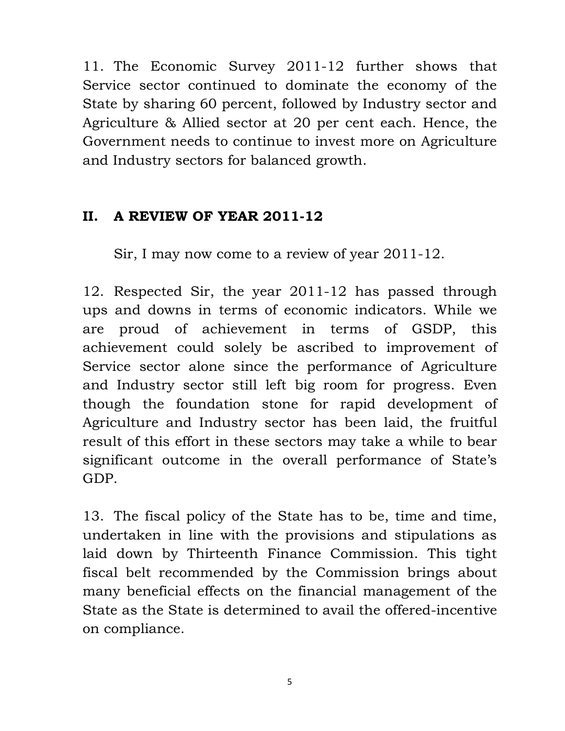11. The Economic Survey 2011-12 further shows that Service sector continued to dominate the economy of the State by sharing 60 percent, followed by Industry sector and Agriculture & Allied sector at 20 per cent each. Hence, the Government needs to continue to invest more on Agriculture and Industry sectors for balanced growth.

#### II. A REVIEW OF YEAR 2011-12

Sir, I may now come to a review of year 2011-12.

12. Respected Sir, the year 2011-12 has passed through ups and downs in terms of economic indicators. While we are proud of achievement in terms of GSDP, this achievement could solely be ascribed to improvement of Service sector alone since the performance of Agriculture and Industry sector still left big room for progress. Even though the foundation stone for rapid development of Agriculture and Industry sector has been laid, the fruitful result of this effort in these sectors may take a while to bear significant outcome in the overall performance of State's GDP.

13. The fiscal policy of the State has to be, time and time, undertaken in line with the provisions and stipulations as laid down by Thirteenth Finance Commission. This tight fiscal belt recommended by the Commission brings about many beneficial effects on the financial management of the State as the State is determined to avail the offered-incentive on compliance.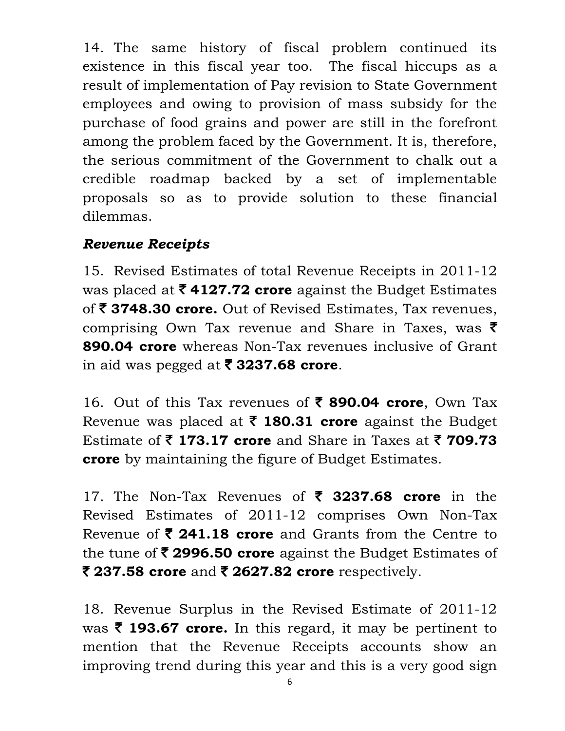14. The same history of fiscal problem continued its existence in this fiscal year too. The fiscal hiccups as a result of implementation of Pay revision to State Government employees and owing to provision of mass subsidy for the purchase of food grains and power are still in the forefront among the problem faced by the Government. It is, therefore, the serious commitment of the Government to chalk out a credible roadmap backed by a set of implementable proposals so as to provide solution to these financial dilemmas.

#### Revenue Receipts

15. Revised Estimates of total Revenue Receipts in 2011-12 was placed at  $\bar{\tau}$  4127.72 crore against the Budget Estimates of  $\bar{\tau}$  3748.30 crore. Out of Revised Estimates, Tax revenues, comprising Own Tax revenue and Share in Taxes, was  $\bar{\tau}$ **890.04 crore** whereas Non-Tax revenues inclusive of Grant in aid was pegged at  $\bar{\tau}$  3237.68 crore.

16. Out of this Tax revenues of  $\bar{\tau}$  890.04 crore, Own Tax Revenue was placed at  $\bar{\tau}$  180.31 crore against the Budget Estimate of  $\bar{\tau}$  173.17 crore and Share in Taxes at  $\bar{\tau}$  709.73 **crore** by maintaining the figure of Budget Estimates.

17. The Non-Tax Revenues of  $\bar{\zeta}$  3237.68 crore in the Revised Estimates of 2011-12 comprises Own Non-Tax Revenue of  $\bar{\tau}$  241.18 crore and Grants from the Centre to the tune of  $\bar{\tau}$  2996.50 crore against the Budget Estimates of  $\bar{\tau}$  237.58 crore and  $\bar{\tau}$  2627.82 crore respectively.

18. Revenue Surplus in the Revised Estimate of 2011-12 was  $\bar{\tau}$  193.67 crore. In this regard, it may be pertinent to mention that the Revenue Receipts accounts show an improving trend during this year and this is a very good sign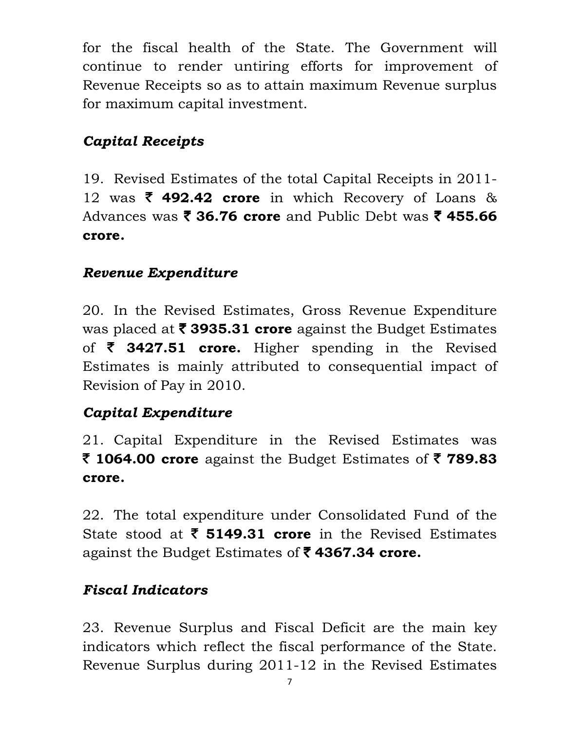for the fiscal health of the State. The Government will continue to render untiring efforts for improvement of Revenue Receipts so as to attain maximum Revenue surplus for maximum capital investment.

# Capital Receipts

19. Revised Estimates of the total Capital Receipts in 2011- 12 was  $\bar{\tau}$  492.42 crore in which Recovery of Loans & Advances was  $\bar{\mathbf{z}}$  36.76 crore and Public Debt was  $\bar{\mathbf{z}}$  455.66 crore.

### Revenue Expenditure

20. In the Revised Estimates, Gross Revenue Expenditure was placed at  $\bar{\tau}$  3935.31 crore against the Budget Estimates of  $\bar{\zeta}$  3427.51 crore. Higher spending in the Revised Estimates is mainly attributed to consequential impact of Revision of Pay in 2010.

## Capital Expenditure

21. Capital Expenditure in the Revised Estimates was ₹ 1064.00 crore against the Budget Estimates of  $\bar{z}$  789.83 crore.

22. The total expenditure under Consolidated Fund of the State stood at  $\bar{\tau}$  5149.31 crore in the Revised Estimates against the Budget Estimates of  $\bar{\tau}$  4367.34 crore.

## Fiscal Indicators

23. Revenue Surplus and Fiscal Deficit are the main key indicators which reflect the fiscal performance of the State. Revenue Surplus during 2011-12 in the Revised Estimates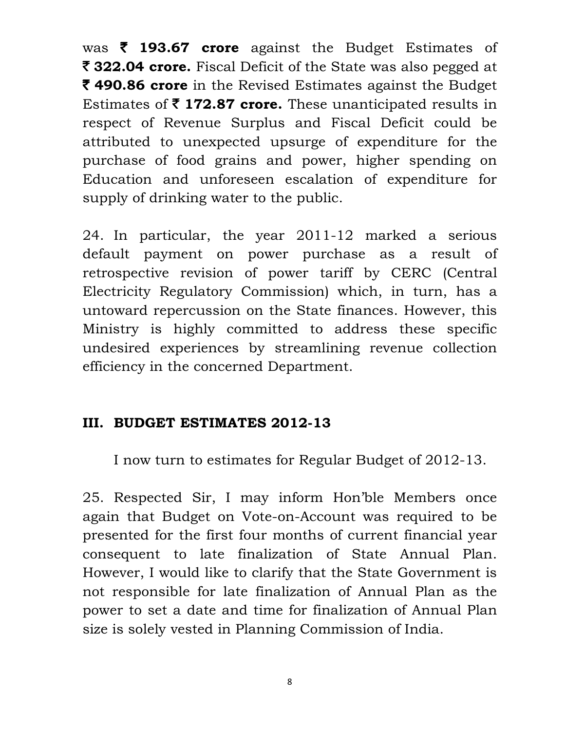was  $\bar{\tau}$  193.67 crore against the Budget Estimates of ₹ 322.04 crore. Fiscal Deficit of the State was also pegged at ₹ 490.86 crore in the Revised Estimates against the Budget Estimates of  $\bar{\tau}$  172.87 crore. These unanticipated results in respect of Revenue Surplus and Fiscal Deficit could be attributed to unexpected upsurge of expenditure for the purchase of food grains and power, higher spending on Education and unforeseen escalation of expenditure for supply of drinking water to the public.

24. In particular, the year 2011-12 marked a serious default payment on power purchase as a result of retrospective revision of power tariff by CERC (Central Electricity Regulatory Commission) which, in turn, has a untoward repercussion on the State finances. However, this Ministry is highly committed to address these specific undesired experiences by streamlining revenue collection efficiency in the concerned Department.

#### III. BUDGET ESTIMATES 2012-13

I now turn to estimates for Regular Budget of 2012-13.

25. Respected Sir, I may inform Hon'ble Members once again that Budget on Vote-on-Account was required to be presented for the first four months of current financial year consequent to late finalization of State Annual Plan. However, I would like to clarify that the State Government is not responsible for late finalization of Annual Plan as the power to set a date and time for finalization of Annual Plan size is solely vested in Planning Commission of India.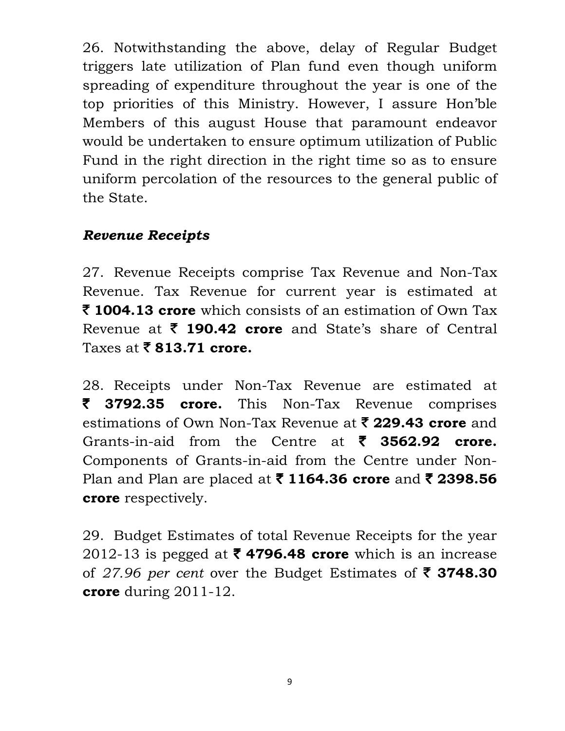26. Notwithstanding the above, delay of Regular Budget triggers late utilization of Plan fund even though uniform spreading of expenditure throughout the year is one of the top priorities of this Ministry. However, I assure Hon'ble Members of this august House that paramount endeavor would be undertaken to ensure optimum utilization of Public Fund in the right direction in the right time so as to ensure uniform percolation of the resources to the general public of the State.

### Revenue Receipts

27. Revenue Receipts comprise Tax Revenue and Non-Tax Revenue. Tax Revenue for current year is estimated at  $\bar{\tau}$  1004.13 crore which consists of an estimation of Own Tax Revenue at  $\bar{\tau}$  190.42 crore and State's share of Central Taxes at  $\bar{\bar{\xi}}$  813.71 crore.

28. Receipts under Non-Tax Revenue are estimated at  $\bar{z}$  3792.35 crore. This Non-Tax Revenue comprises estimations of Own Non-Tax Revenue at  $\bar{\mathbf{z}}$  229.43 crore and Grants-in-aid from the Centre at  $\bar{\zeta}$  3562.92 crore. Components of Grants-in-aid from the Centre under Non-Plan and Plan are placed at  $\bar{\tau}$  1164.36 crore and  $\bar{\tau}$  2398.56 crore respectively.

29. Budget Estimates of total Revenue Receipts for the year 2012-13 is pegged at  $\bar{\tau}$  4796.48 crore which is an increase of 27.96 per cent over the Budget Estimates of  $\bar{\tau}$  3748.30 crore during 2011-12.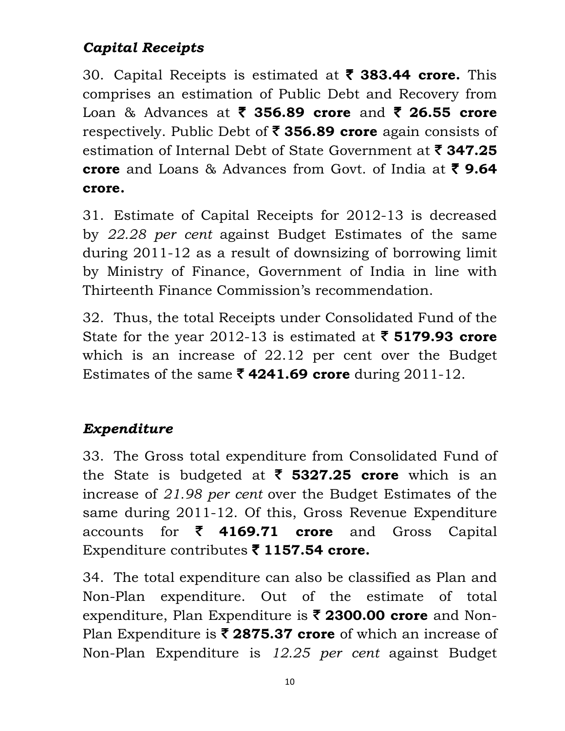# Capital Receipts

30. Capital Receipts is estimated at  $\bar{\tau}$  383.44 crore. This comprises an estimation of Public Debt and Recovery from Loan & Advances at  $\bar{\zeta}$  356.89 crore and  $\bar{\zeta}$  26.55 crore respectively. Public Debt of  $\bar{\tau}$  356.89 crore again consists of estimation of Internal Debt of State Government at  $\bar{\mathbf{z}}$  347.25 crore and Loans & Advances from Govt. of India at  $\bar{\zeta}$  9.64 crore.

31. Estimate of Capital Receipts for 2012-13 is decreased by 22.28 per cent against Budget Estimates of the same during 2011-12 as a result of downsizing of borrowing limit by Ministry of Finance, Government of India in line with Thirteenth Finance Commission's recommendation.

32. Thus, the total Receipts under Consolidated Fund of the State for the year 2012-13 is estimated at  $\bar{\tau}$  5179.93 crore which is an increase of 22.12 per cent over the Budget Estimates of the same  $\bar{\mathbf{\mathsf{z}}}$  4241.69 crore during 2011-12.

# Expenditure

33. The Gross total expenditure from Consolidated Fund of the State is budgeted at  $\bar{\tau}$  5327.25 crore which is an increase of 21.98 per cent over the Budget Estimates of the same during 2011-12. Of this, Gross Revenue Expenditure accounts for  $\bar{\tau}$  4169.71 crore and Gross Capital Expenditure contributes  $\bar{\phantom{1}}$  1157.54 crore.

34. The total expenditure can also be classified as Plan and Non-Plan expenditure. Out of the estimate of total expenditure, Plan Expenditure is  $\bar{\tau}$  2300.00 crore and Non-Plan Expenditure is  $\bar{\mathbf{z}}$  2875.37 crore of which an increase of Non-Plan Expenditure is 12.25 per cent against Budget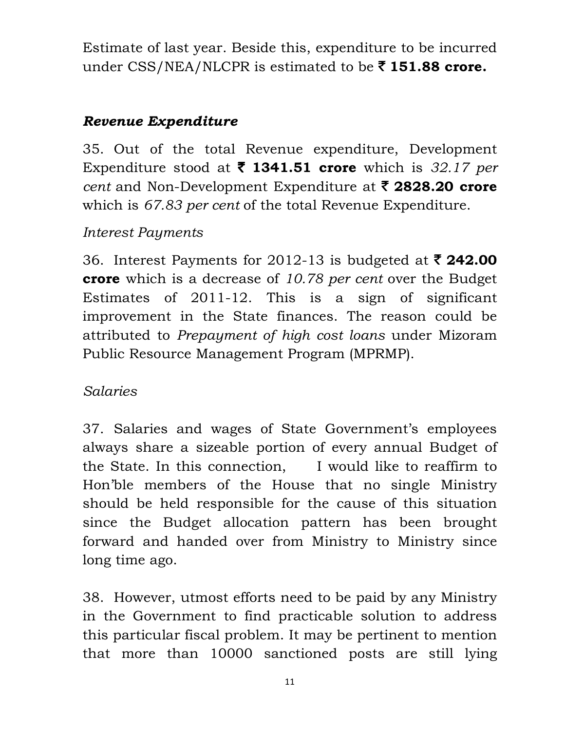Estimate of last year. Beside this, expenditure to be incurred under CSS/NEA/NLCPR is estimated to be  $\bar{\tau}$  151.88 crore.

### Revenue Expenditure

35. Out of the total Revenue expenditure, Development Expenditure stood at  $\bar{\tau}$  1341.51 crore which is 32.17 per cent and Non-Development Expenditure at  $\bar{\tau}$  2828.20 crore which is 67.83 *per cent* of the total Revenue Expenditure.

## Interest Payments

36. Interest Payments for 2012-13 is budgeted at  $\bar{\tau}$  242.00 **crore** which is a decrease of 10.78 per cent over the Budget Estimates of 2011-12. This is a sign of significant improvement in the State finances. The reason could be attributed to Prepayment of high cost loans under Mizoram Public Resource Management Program (MPRMP).

## Salaries

37. Salaries and wages of State Government's employees always share a sizeable portion of every annual Budget of the State. In this connection, I would like to reaffirm to Hon'ble members of the House that no single Ministry should be held responsible for the cause of this situation since the Budget allocation pattern has been brought forward and handed over from Ministry to Ministry since long time ago.

38. However, utmost efforts need to be paid by any Ministry in the Government to find practicable solution to address this particular fiscal problem. It may be pertinent to mention that more than 10000 sanctioned posts are still lying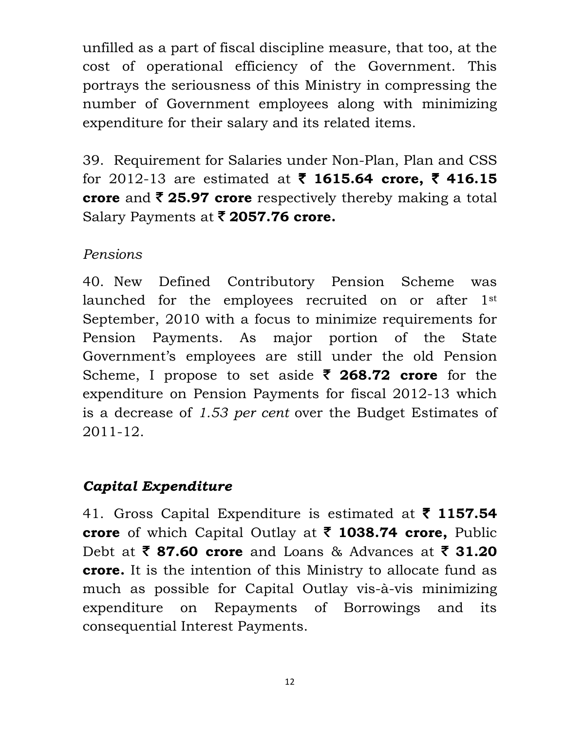unfilled as a part of fiscal discipline measure, that too, at the cost of operational efficiency of the Government. This portrays the seriousness of this Ministry in compressing the number of Government employees along with minimizing expenditure for their salary and its related items.

39. Requirement for Salaries under Non-Plan, Plan and CSS for 2012-13 are estimated at  $\bar{\tau}$  1615.64 crore,  $\bar{\tau}$  416.15 crore and  $\bar{\tau}$  25.97 crore respectively thereby making a total Salary Payments at  $\bar{\mathbf{z}}$  2057.76 crore.

### Pensions

40. New Defined Contributory Pension Scheme was launched for the employees recruited on or after 1st September, 2010 with a focus to minimize requirements for Pension Payments. As major portion of the State Government's employees are still under the old Pension Scheme, I propose to set aside  $\bar{\zeta}$  268.72 crore for the expenditure on Pension Payments for fiscal 2012-13 which is a decrease of 1.53 per cent over the Budget Estimates of 2011-12.

## Capital Expenditure

41. Gross Capital Expenditure is estimated at  $\bar{\tau}$  1157.54 crore of which Capital Outlay at  $\bar{\zeta}$  1038.74 crore, Public Debt at  $\bar{\zeta}$  87.60 crore and Loans & Advances at  $\bar{\zeta}$  31.20 crore. It is the intention of this Ministry to allocate fund as much as possible for Capital Outlay vis-à-vis minimizing expenditure on Repayments of Borrowings and its consequential Interest Payments.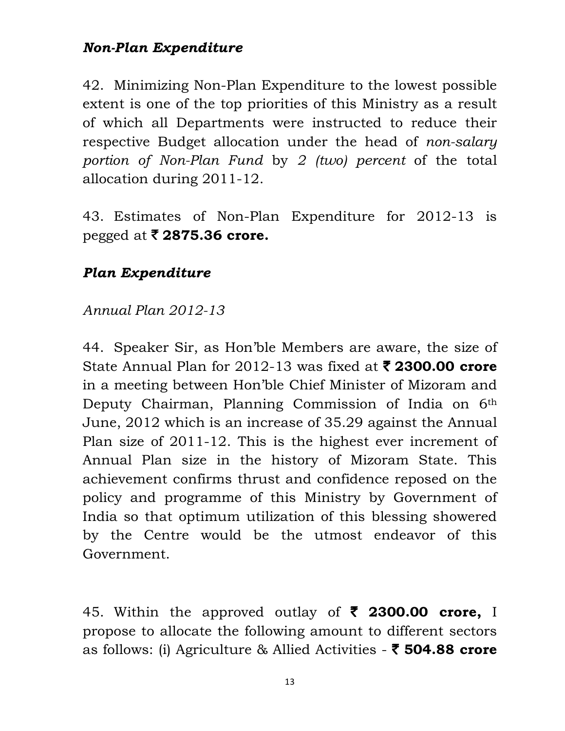### Non-Plan Expenditure

42. Minimizing Non-Plan Expenditure to the lowest possible extent is one of the top priorities of this Ministry as a result of which all Departments were instructed to reduce their respective Budget allocation under the head of non-salary portion of Non-Plan Fund by 2 (two) percent of the total allocation during 2011-12.

43. Estimates of Non-Plan Expenditure for 2012-13 is pegged at  $\bar{\mathbf{z}}$  2875.36 crore.

#### Plan Expenditure

#### Annual Plan 2012-13

44. Speaker Sir, as Hon'ble Members are aware, the size of State Annual Plan for 2012-13 was fixed at  $\bar{\tau}$  2300.00 crore in a meeting between Hon'ble Chief Minister of Mizoram and Deputy Chairman, Planning Commission of India on 6th June, 2012 which is an increase of 35.29 against the Annual Plan size of 2011-12. This is the highest ever increment of Annual Plan size in the history of Mizoram State. This achievement confirms thrust and confidence reposed on the policy and programme of this Ministry by Government of India so that optimum utilization of this blessing showered by the Centre would be the utmost endeavor of this Government.

45. Within the approved outlay of  $\bar{\zeta}$  2300.00 crore, I propose to allocate the following amount to different sectors as follows: (i) Agriculture & Allied Activities  $\bar{\phantom{1}}$  504.88 crore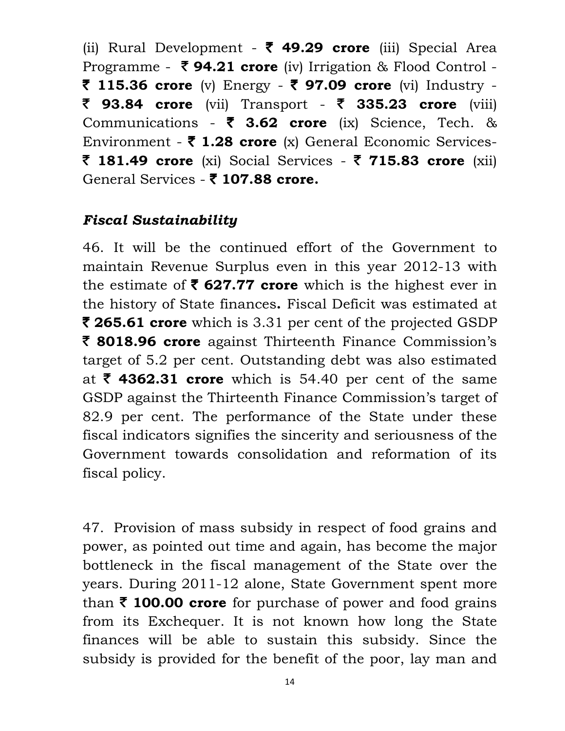(ii) Rural Development -  $\bar{\zeta}$  49.29 crore (iii) Special Area Programme -  $\bar{\tau}$  94.21 crore (iv) Irrigation & Flood Control -₹ 115.36 crore (v) Energy - ₹ 97.09 crore (vi) Industry -₹ 93.84 crore (vii) Transport - ₹ 335.23 crore (viii) Communications -  $\bar{\tau}$  3.62 crore (ix) Science, Tech. & Environment -  $\bar{\tau}$  1.28 crore (x) General Economic Services-₹ 181.49 crore (xi) Social Services - ₹ 715.83 crore (xii) General Services -  $\bar{\zeta}$  107.88 crore.

#### Fiscal Sustainability

46. It will be the continued effort of the Government to maintain Revenue Surplus even in this year 2012-13 with the estimate of  $\bar{\tau}$  627.77 crore which is the highest ever in the history of State finances. Fiscal Deficit was estimated at  $\bar{\mathbf{z}}$  265.61 crore which is 3.31 per cent of the projected GSDP ₹ 8018.96 crore against Thirteenth Finance Commission's target of 5.2 per cent. Outstanding debt was also estimated at  $\bar{\tau}$  4362.31 crore which is 54.40 per cent of the same GSDP against the Thirteenth Finance Commission's target of 82.9 per cent. The performance of the State under these fiscal indicators signifies the sincerity and seriousness of the Government towards consolidation and reformation of its fiscal policy.

47. Provision of mass subsidy in respect of food grains and power, as pointed out time and again, has become the major bottleneck in the fiscal management of the State over the years. During 2011-12 alone, State Government spent more than  $\bar{\tau}$  100.00 crore for purchase of power and food grains from its Exchequer. It is not known how long the State finances will be able to sustain this subsidy. Since the subsidy is provided for the benefit of the poor, lay man and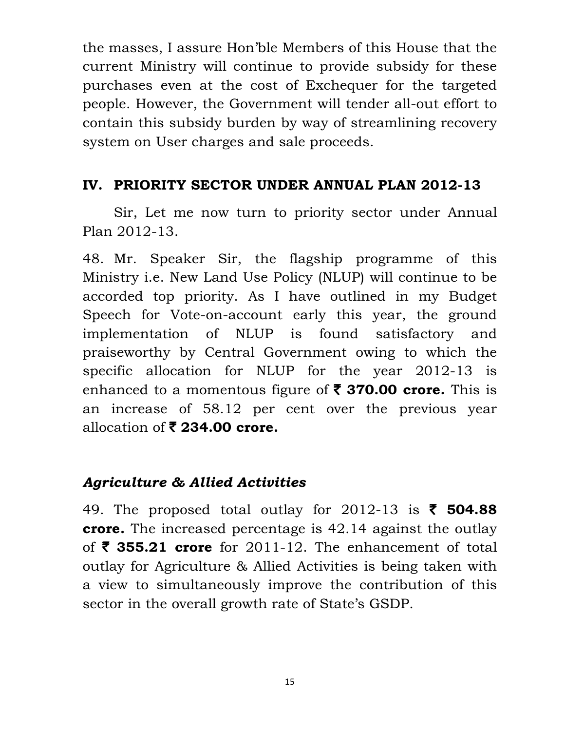the masses, I assure Hon'ble Members of this House that the current Ministry will continue to provide subsidy for these purchases even at the cost of Exchequer for the targeted people. However, the Government will tender all-out effort to contain this subsidy burden by way of streamlining recovery system on User charges and sale proceeds.

#### IV. PRIORITY SECTOR UNDER ANNUAL PLAN 2012-13

Sir, Let me now turn to priority sector under Annual Plan 2012-13.

48. Mr. Speaker Sir, the flagship programme of this Ministry i.e. New Land Use Policy (NLUP) will continue to be accorded top priority. As I have outlined in my Budget Speech for Vote-on-account early this year, the ground implementation of NLUP is found satisfactory and praiseworthy by Central Government owing to which the specific allocation for NLUP for the year 2012-13 is enhanced to a momentous figure of  $\bar{\phantom{1}}$  370.00 crore. This is an increase of 58.12 per cent over the previous year allocation of  $\bar{\bar{\mathbf{z}}}$  234.00 crore.

## Agriculture & Allied Activities

49. The proposed total outlay for 2012-13 is  $\bar{\phantom{1}}$  504.88 **crore.** The increased percentage is 42.14 against the outlay of  $\bar{\tau}$  355.21 crore for 2011-12. The enhancement of total outlay for Agriculture & Allied Activities is being taken with a view to simultaneously improve the contribution of this sector in the overall growth rate of State's GSDP.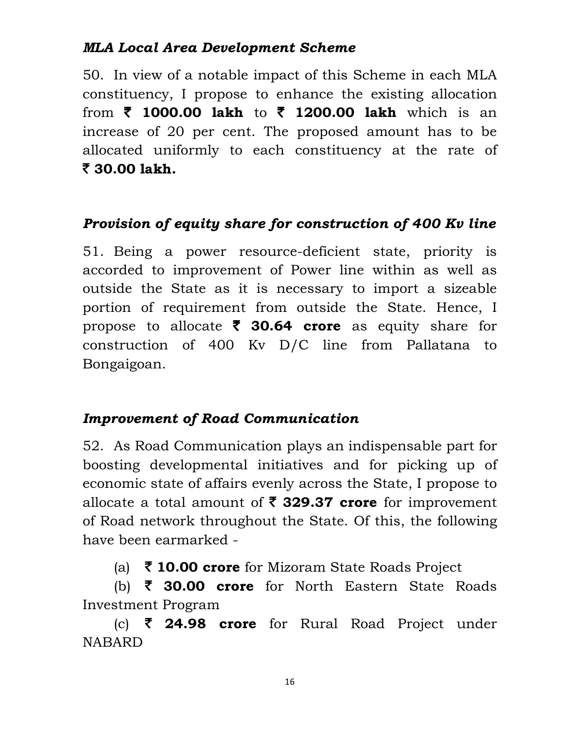#### MLA Local Area Development Scheme

50. In view of a notable impact of this Scheme in each MLA constituency, I propose to enhance the existing allocation from  $\bar{\tau}$  1000.00 lakh to  $\bar{\tau}$  1200.00 lakh which is an increase of 20 per cent. The proposed amount has to be allocated uniformly to each constituency at the rate of  $\bar{z}$  30.00 lakh.

#### Provision of equity share for construction of 400 Kv line

51. Being a power resource-deficient state, priority is accorded to improvement of Power line within as well as outside the State as it is necessary to import a sizeable portion of requirement from outside the State. Hence, I propose to allocate  $\bar{\tau}$  30.64 crore as equity share for construction of 400 Kv D/C line from Pallatana to Bongaigoan.

#### Improvement of Road Communication

52. As Road Communication plays an indispensable part for boosting developmental initiatives and for picking up of economic state of affairs evenly across the State, I propose to allocate a total amount of  $\bar{\tau}$  329.37 crore for improvement of Road network throughout the State. Of this, the following have been earmarked -

(a)  $\bar{\tau}$  10.00 crore for Mizoram State Roads Project

(b)  $\bar{\tau}$  30.00 crore for North Eastern State Roads Investment Program

(c)  $\bar{\zeta}$  24.98 crore for Rural Road Project under NABARD

16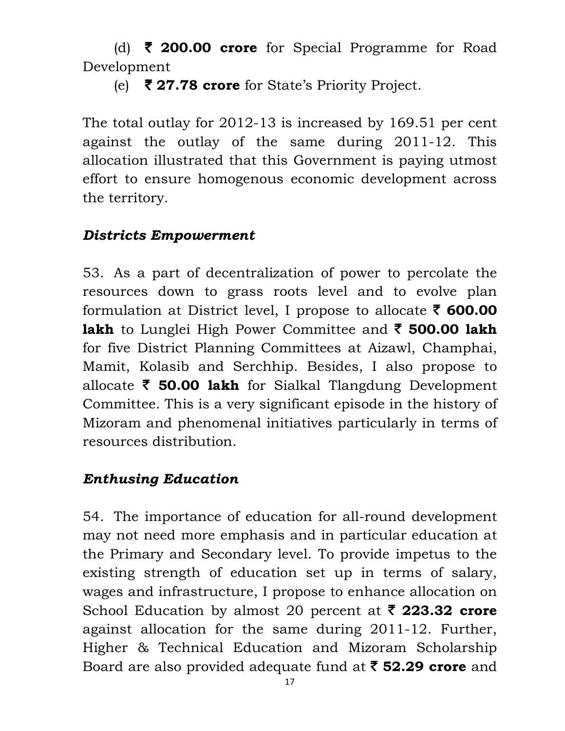(d)  $\bar{\tau}$  200.00 crore for Special Programme for Road Development

(e)  $\overline{\mathbf{z}}$  27.78 crore for State's Priority Project.

The total outlay for 2012-13 is increased by 169.51 per cent against the outlay of the same during 2011-12. This allocation illustrated that this Government is paying utmost effort to ensure homogenous economic development across the territory.

### Districts Empowerment

53. As a part of decentralization of power to percolate the resources down to grass roots level and to evolve plan formulation at District level, I propose to allocate  $\bar{\tau}$  600.00 lakh to Lunglei High Power Committee and  $\bar{\tau}$  500.00 lakh for five District Planning Committees at Aizawl, Champhai, Mamit, Kolasib and Serchhip. Besides, I also propose to allocate  $\bar{\tau}$  50.00 lakh for Sialkal Tlangdung Development Committee. This is a very significant episode in the history of Mizoram and phenomenal initiatives particularly in terms of resources distribution.

## Enthusing Education

54. The importance of education for all-round development may not need more emphasis and in particular education at the Primary and Secondary level. To provide impetus to the existing strength of education set up in terms of salary, wages and infrastructure, I propose to enhance allocation on School Education by almost 20 percent at  $\bar{\tau}$  223.32 crore against allocation for the same during 2011-12. Further, Higher & Technical Education and Mizoram Scholarship Board are also provided adequate fund at  $\bar{\tau}$  52.29 crore and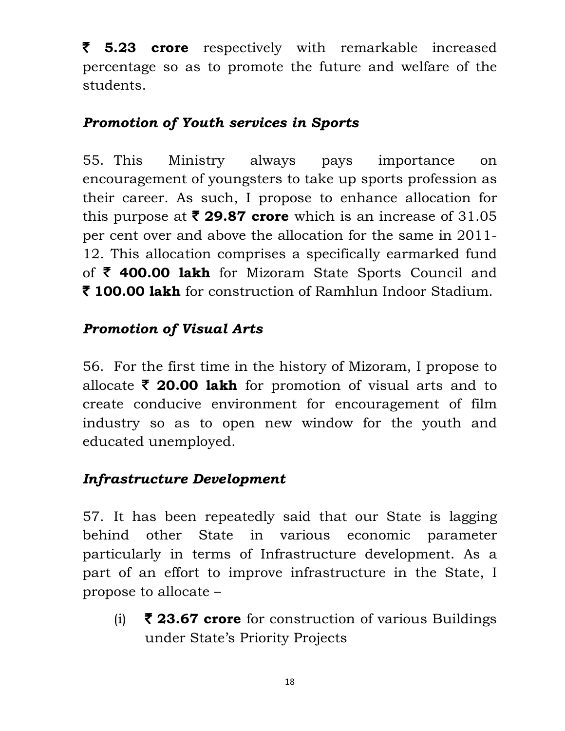$\bar{z}$  5.23 crore respectively with remarkable increased percentage so as to promote the future and welfare of the students.

### Promotion of Youth services in Sports

55. This Ministry always pays importance on encouragement of youngsters to take up sports profession as their career. As such, I propose to enhance allocation for this purpose at  $\bar{\mathbf{z}}$  29.87 crore which is an increase of 31.05 per cent over and above the allocation for the same in 2011- 12. This allocation comprises a specifically earmarked fund of  $\bar{\tau}$  400.00 lakh for Mizoram State Sports Council and ₹ 100.00 lakh for construction of Ramhlun Indoor Stadium.

## Promotion of Visual Arts

56. For the first time in the history of Mizoram, I propose to allocate  $\bar{\tau}$  20.00 lakh for promotion of visual arts and to create conducive environment for encouragement of film industry so as to open new window for the youth and educated unemployed.

#### Infrastructure Development

57. It has been repeatedly said that our State is lagging behind other State in various economic parameter particularly in terms of Infrastructure development. As a part of an effort to improve infrastructure in the State, I propose to allocate –

(i)  $\bar{\zeta}$  23.67 crore for construction of various Buildings under State's Priority Projects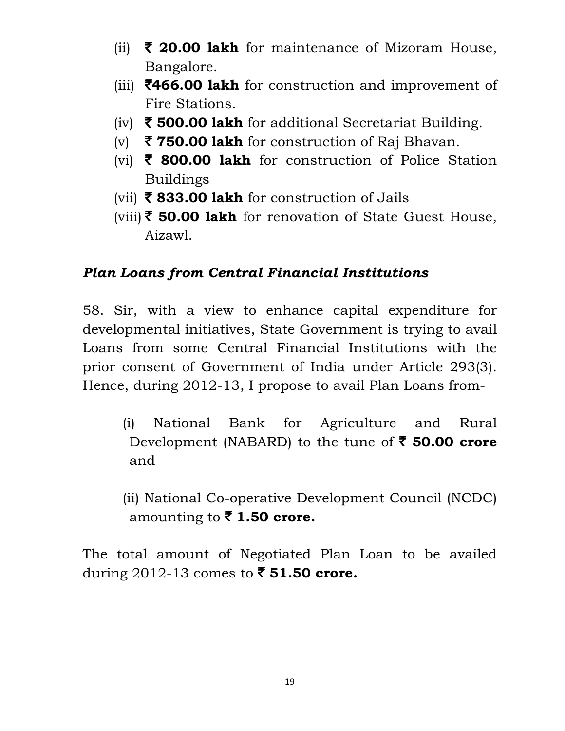- (ii)  $\bar{\tau}$  20.00 lakh for maintenance of Mizoram House, Bangalore.
- (iii)  $\overline{\mathbf{5466.00}}$  lakh for construction and improvement of Fire Stations.
- (iv)  $\bar{\tau}$  500.00 lakh for additional Secretariat Building.
- (v)  $\bar{\mathbf{\zeta}}$  750.00 lakh for construction of Raj Bhavan.
- (vi)  $\bar{\tau}$  800.00 lakh for construction of Police Station Buildings
- (vii)  $\bar{\tau}$  833.00 lakh for construction of Jails
- (viii)  $\bar{\xi}$  50.00 lakh for renovation of State Guest House, Aizawl.

## Plan Loans from Central Financial Institutions

58. Sir, with a view to enhance capital expenditure for developmental initiatives, State Government is trying to avail Loans from some Central Financial Institutions with the prior consent of Government of India under Article 293(3). Hence, during 2012-13, I propose to avail Plan Loans from-

- (i) National Bank for Agriculture and Rural Development (NABARD) to the tune of  $\bar{\tau}$  50.00 crore and
- (ii) National Co-operative Development Council (NCDC) amounting to  $\bar{\tau}$  1.50 crore.

The total amount of Negotiated Plan Loan to be availed during 2012-13 comes to  $\bar{\phantom{1}}$  51.50 crore.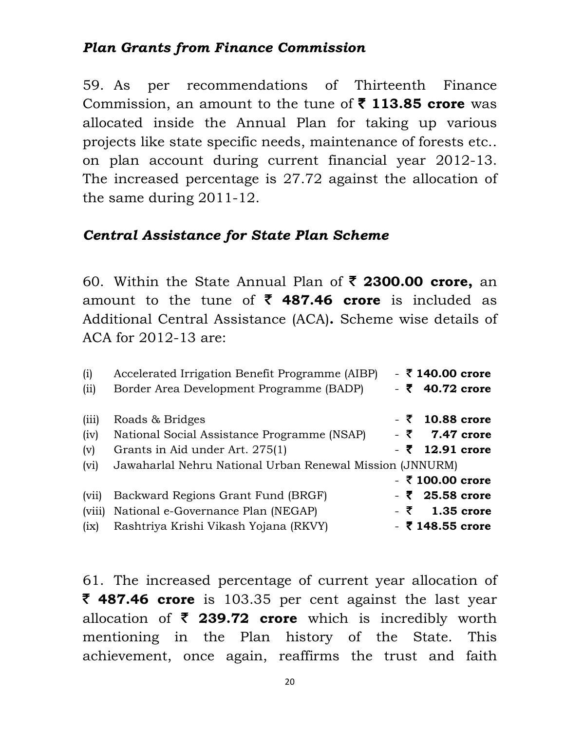#### Plan Grants from Finance Commission

59. As per recommendations of Thirteenth Finance Commission, an amount to the tune of  $\bar{\tau}$  113.85 crore was allocated inside the Annual Plan for taking up various projects like state specific needs, maintenance of forests etc.. on plan account during current financial year 2012-13. The increased percentage is 27.72 against the allocation of the same during 2011-12.

#### Central Assistance for State Plan Scheme

60. Within the State Annual Plan of  $\bar{\tau}$  2300.00 crore, an amount to the tune of  $\bar{\tau}$  487.46 crore is included as Additional Central Assistance (ACA). Scheme wise details of ACA for 2012-13 are:

| $-5140.00$ crore   |
|--------------------|
| $-540.72$ crore    |
| $-5$ 10.88 crore   |
| $-5$ 7.47 crore    |
| $-5$ 12.91 crore   |
|                    |
| $-$ ₹ 100.00 crore |
| $-525.58$ crore    |
| $-5$ 1.35 crore    |
| $-5148.55$ crore   |
|                    |

61. The increased percentage of current year allocation of  $\bar{\tau}$  **487.46 crore** is 103.35 per cent against the last year allocation of  $\bar{\zeta}$  239.72 crore which is incredibly worth mentioning in the Plan history of the State. This achievement, once again, reaffirms the trust and faith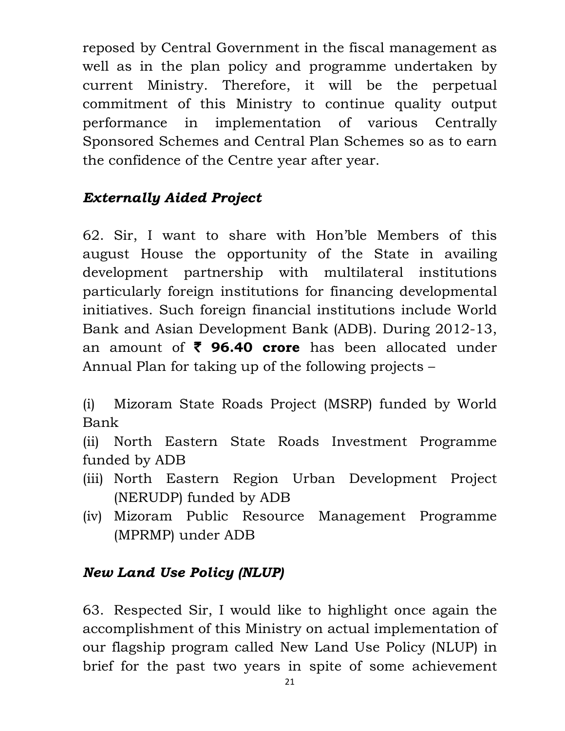reposed by Central Government in the fiscal management as well as in the plan policy and programme undertaken by current Ministry. Therefore, it will be the perpetual commitment of this Ministry to continue quality output performance in implementation of various Centrally Sponsored Schemes and Central Plan Schemes so as to earn the confidence of the Centre year after year.

## Externally Aided Project

62. Sir, I want to share with Hon'ble Members of this august House the opportunity of the State in availing development partnership with multilateral institutions particularly foreign institutions for financing developmental initiatives. Such foreign financial institutions include World Bank and Asian Development Bank (ADB). During 2012-13, an amount of  $\bar{\tau}$  96.40 crore has been allocated under Annual Plan for taking up of the following projects –

(i) Mizoram State Roads Project (MSRP) funded by World Bank

(ii) North Eastern State Roads Investment Programme funded by ADB

- (iii) North Eastern Region Urban Development Project (NERUDP) funded by ADB
- (iv) Mizoram Public Resource Management Programme (MPRMP) under ADB

# New Land Use Policy (NLUP)

63. Respected Sir, I would like to highlight once again the accomplishment of this Ministry on actual implementation of our flagship program called New Land Use Policy (NLUP) in brief for the past two years in spite of some achievement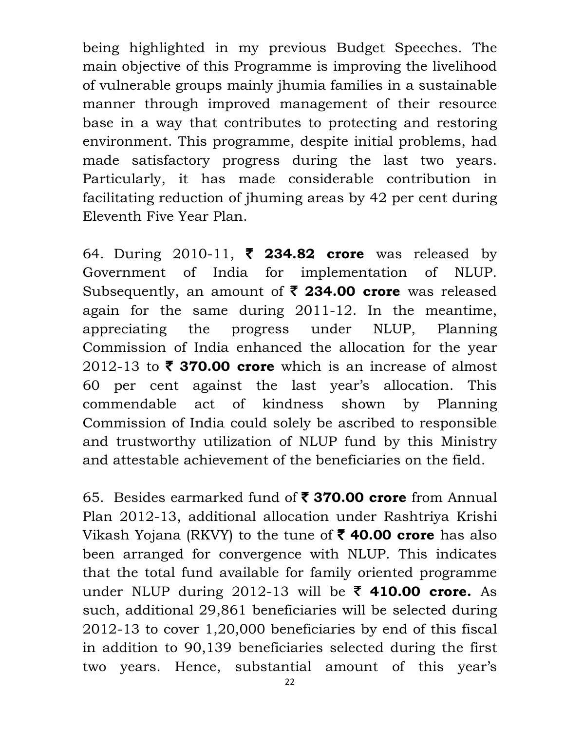being highlighted in my previous Budget Speeches. The main objective of this Programme is improving the livelihood of vulnerable groups mainly jhumia families in a sustainable manner through improved management of their resource base in a way that contributes to protecting and restoring environment. This programme, despite initial problems, had made satisfactory progress during the last two years. Particularly, it has made considerable contribution in facilitating reduction of jhuming areas by 42 per cent during Eleventh Five Year Plan.

64. During 2010-11,  $\bar{\phantom{1}}$  234.82 crore was released by Government of India for implementation of NLUP. Subsequently, an amount of  $\bar{\zeta}$  234.00 crore was released again for the same during 2011-12. In the meantime, appreciating the progress under NLUP, Planning Commission of India enhanced the allocation for the year 2012-13 to  $\bar{\tau}$  370.00 crore which is an increase of almost 60 per cent against the last year's allocation. This commendable act of kindness shown by Planning Commission of India could solely be ascribed to responsible and trustworthy utilization of NLUP fund by this Ministry and attestable achievement of the beneficiaries on the field.

65. Besides earmarked fund of  $\bar{\tau}$  370.00 crore from Annual Plan 2012-13, additional allocation under Rashtriya Krishi Vikash Yojana (RKVY) to the tune of  $\bar{\tau}$  40.00 crore has also been arranged for convergence with NLUP. This indicates that the total fund available for family oriented programme under NLUP during 2012-13 will be  $\bar{\tau}$  410.00 crore. As such, additional 29,861 beneficiaries will be selected during 2012-13 to cover 1,20,000 beneficiaries by end of this fiscal in addition to 90,139 beneficiaries selected during the first two years. Hence, substantial amount of this year's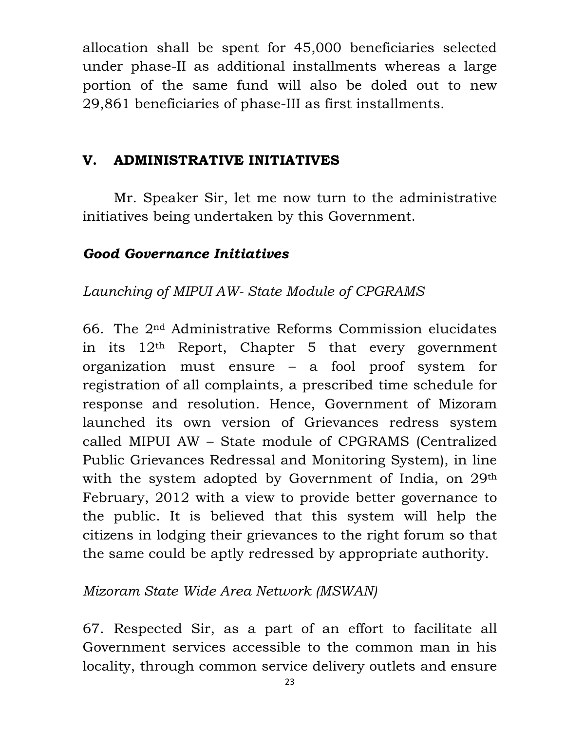allocation shall be spent for 45,000 beneficiaries selected under phase-II as additional installments whereas a large portion of the same fund will also be doled out to new 29,861 beneficiaries of phase-III as first installments.

#### V. ADMINISTRATIVE INITIATIVES

Mr. Speaker Sir, let me now turn to the administrative initiatives being undertaken by this Government.

#### Good Governance Initiatives

## Launching of MIPUI AW- State Module of CPGRAMS

66. The 2nd Administrative Reforms Commission elucidates in its  $12<sup>th</sup>$  Report, Chapter 5 that every government organization must ensure – a fool proof system for registration of all complaints, a prescribed time schedule for response and resolution. Hence, Government of Mizoram launched its own version of Grievances redress system called MIPUI AW – State module of CPGRAMS (Centralized Public Grievances Redressal and Monitoring System), in line with the system adopted by Government of India, on 29<sup>th</sup> February, 2012 with a view to provide better governance to the public. It is believed that this system will help the citizens in lodging their grievances to the right forum so that the same could be aptly redressed by appropriate authority.

#### Mizoram State Wide Area Network (MSWAN)

67. Respected Sir, as a part of an effort to facilitate all Government services accessible to the common man in his locality, through common service delivery outlets and ensure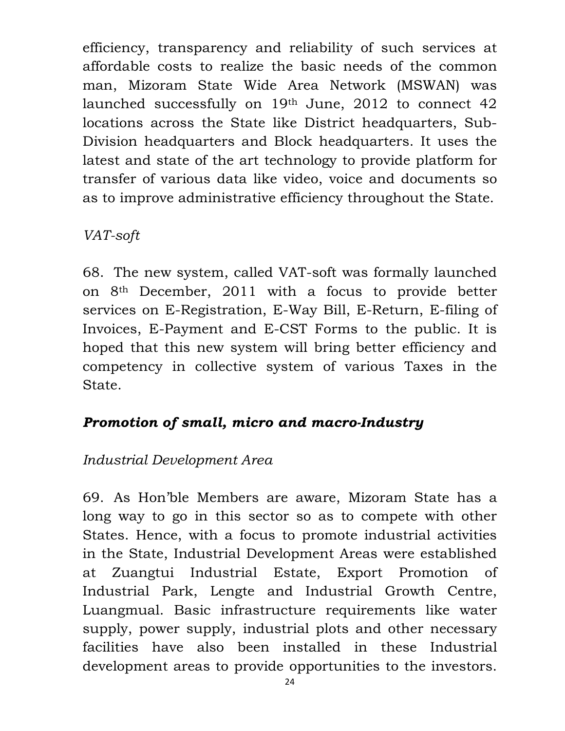efficiency, transparency and reliability of such services at affordable costs to realize the basic needs of the common man, Mizoram State Wide Area Network (MSWAN) was launched successfully on 19th June, 2012 to connect 42 locations across the State like District headquarters, Sub-Division headquarters and Block headquarters. It uses the latest and state of the art technology to provide platform for transfer of various data like video, voice and documents so as to improve administrative efficiency throughout the State.

## VAT-soft

68. The new system, called VAT-soft was formally launched on 8th December, 2011 with a focus to provide better services on E-Registration, E-Way Bill, E-Return, E-filing of Invoices, E-Payment and E-CST Forms to the public. It is hoped that this new system will bring better efficiency and competency in collective system of various Taxes in the State.

# Promotion of small, micro and macro-Industry

# Industrial Development Area

69. As Hon'ble Members are aware, Mizoram State has a long way to go in this sector so as to compete with other States. Hence, with a focus to promote industrial activities in the State, Industrial Development Areas were established at Zuangtui Industrial Estate, Export Promotion of Industrial Park, Lengte and Industrial Growth Centre, Luangmual. Basic infrastructure requirements like water supply, power supply, industrial plots and other necessary facilities have also been installed in these Industrial development areas to provide opportunities to the investors.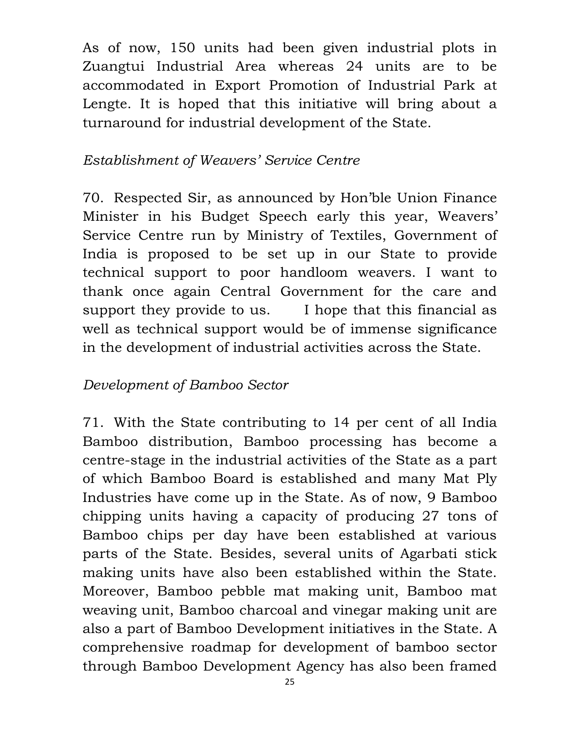As of now, 150 units had been given industrial plots in Zuangtui Industrial Area whereas 24 units are to be accommodated in Export Promotion of Industrial Park at Lengte. It is hoped that this initiative will bring about a turnaround for industrial development of the State.

#### Establishment of Weavers' Service Centre

70. Respected Sir, as announced by Hon'ble Union Finance Minister in his Budget Speech early this year, Weavers' Service Centre run by Ministry of Textiles, Government of India is proposed to be set up in our State to provide technical support to poor handloom weavers. I want to thank once again Central Government for the care and support they provide to us. I hope that this financial as well as technical support would be of immense significance in the development of industrial activities across the State.

## Development of Bamboo Sector

71. With the State contributing to 14 per cent of all India Bamboo distribution, Bamboo processing has become a centre-stage in the industrial activities of the State as a part of which Bamboo Board is established and many Mat Ply Industries have come up in the State. As of now, 9 Bamboo chipping units having a capacity of producing 27 tons of Bamboo chips per day have been established at various parts of the State. Besides, several units of Agarbati stick making units have also been established within the State. Moreover, Bamboo pebble mat making unit, Bamboo mat weaving unit, Bamboo charcoal and vinegar making unit are also a part of Bamboo Development initiatives in the State. A comprehensive roadmap for development of bamboo sector through Bamboo Development Agency has also been framed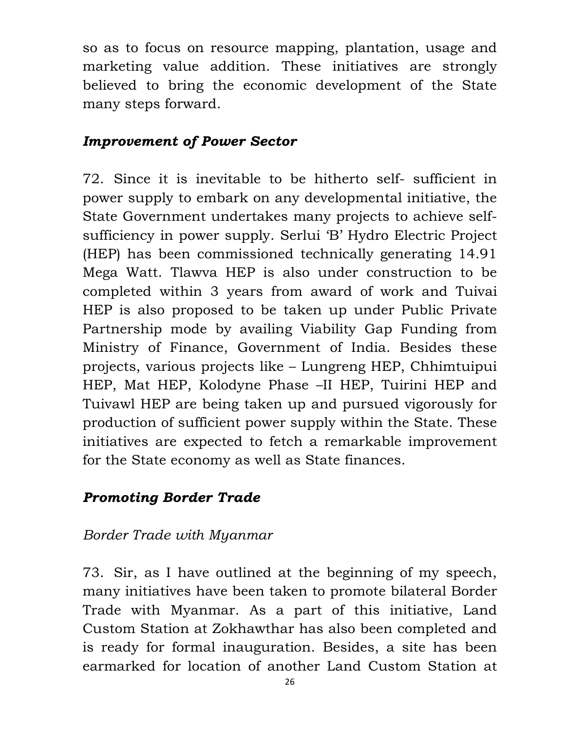so as to focus on resource mapping, plantation, usage and marketing value addition. These initiatives are strongly believed to bring the economic development of the State many steps forward.

#### Improvement of Power Sector

72. Since it is inevitable to be hitherto self- sufficient in power supply to embark on any developmental initiative, the State Government undertakes many projects to achieve selfsufficiency in power supply. Serlui 'B' Hydro Electric Project (HEP) has been commissioned technically generating 14.91 Mega Watt. Tlawva HEP is also under construction to be completed within 3 years from award of work and Tuivai HEP is also proposed to be taken up under Public Private Partnership mode by availing Viability Gap Funding from Ministry of Finance, Government of India. Besides these projects, various projects like – Lungreng HEP, Chhimtuipui HEP, Mat HEP, Kolodyne Phase –II HEP, Tuirini HEP and Tuivawl HEP are being taken up and pursued vigorously for production of sufficient power supply within the State. These initiatives are expected to fetch a remarkable improvement for the State economy as well as State finances.

## Promoting Border Trade

#### Border Trade with Myanmar

73. Sir, as I have outlined at the beginning of my speech, many initiatives have been taken to promote bilateral Border Trade with Myanmar. As a part of this initiative, Land Custom Station at Zokhawthar has also been completed and is ready for formal inauguration. Besides, a site has been earmarked for location of another Land Custom Station at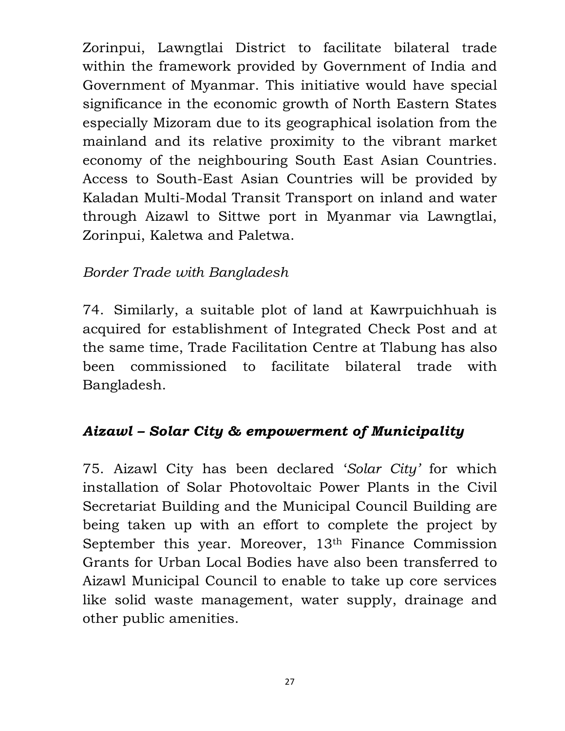Zorinpui, Lawngtlai District to facilitate bilateral trade within the framework provided by Government of India and Government of Myanmar. This initiative would have special significance in the economic growth of North Eastern States especially Mizoram due to its geographical isolation from the mainland and its relative proximity to the vibrant market economy of the neighbouring South East Asian Countries. Access to South-East Asian Countries will be provided by Kaladan Multi-Modal Transit Transport on inland and water through Aizawl to Sittwe port in Myanmar via Lawngtlai, Zorinpui, Kaletwa and Paletwa.

### Border Trade with Bangladesh

74. Similarly, a suitable plot of land at Kawrpuichhuah is acquired for establishment of Integrated Check Post and at the same time, Trade Facilitation Centre at Tlabung has also been commissioned to facilitate bilateral trade with Bangladesh.

## Aizawl – Solar City & empowerment of Municipality

75. Aizawl City has been declared 'Solar City' for which installation of Solar Photovoltaic Power Plants in the Civil Secretariat Building and the Municipal Council Building are being taken up with an effort to complete the project by September this year. Moreover, 13th Finance Commission Grants for Urban Local Bodies have also been transferred to Aizawl Municipal Council to enable to take up core services like solid waste management, water supply, drainage and other public amenities.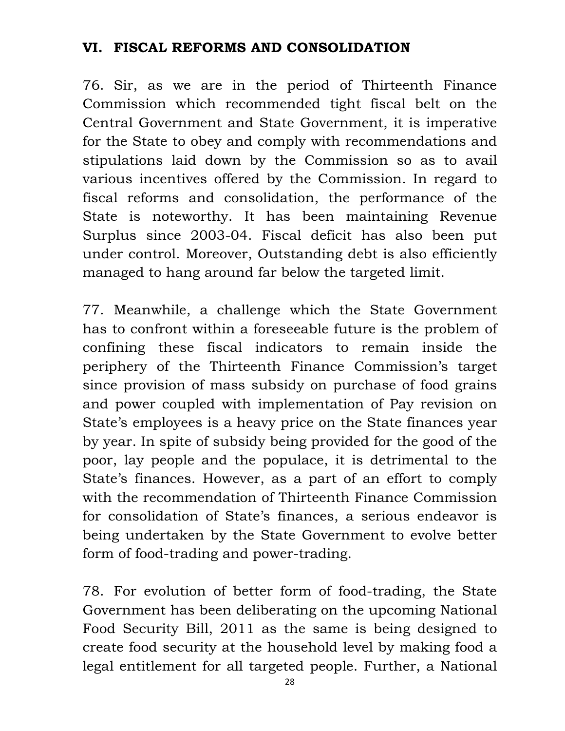#### VI. FISCAL REFORMS AND CONSOLIDATION

76. Sir, as we are in the period of Thirteenth Finance Commission which recommended tight fiscal belt on the Central Government and State Government, it is imperative for the State to obey and comply with recommendations and stipulations laid down by the Commission so as to avail various incentives offered by the Commission. In regard to fiscal reforms and consolidation, the performance of the State is noteworthy. It has been maintaining Revenue Surplus since 2003-04. Fiscal deficit has also been put under control. Moreover, Outstanding debt is also efficiently managed to hang around far below the targeted limit.

77. Meanwhile, a challenge which the State Government has to confront within a foreseeable future is the problem of confining these fiscal indicators to remain inside the periphery of the Thirteenth Finance Commission's target since provision of mass subsidy on purchase of food grains and power coupled with implementation of Pay revision on State's employees is a heavy price on the State finances year by year. In spite of subsidy being provided for the good of the poor, lay people and the populace, it is detrimental to the State's finances. However, as a part of an effort to comply with the recommendation of Thirteenth Finance Commission for consolidation of State's finances, a serious endeavor is being undertaken by the State Government to evolve better form of food-trading and power-trading.

78. For evolution of better form of food-trading, the State Government has been deliberating on the upcoming National Food Security Bill, 2011 as the same is being designed to create food security at the household level by making food a legal entitlement for all targeted people. Further, a National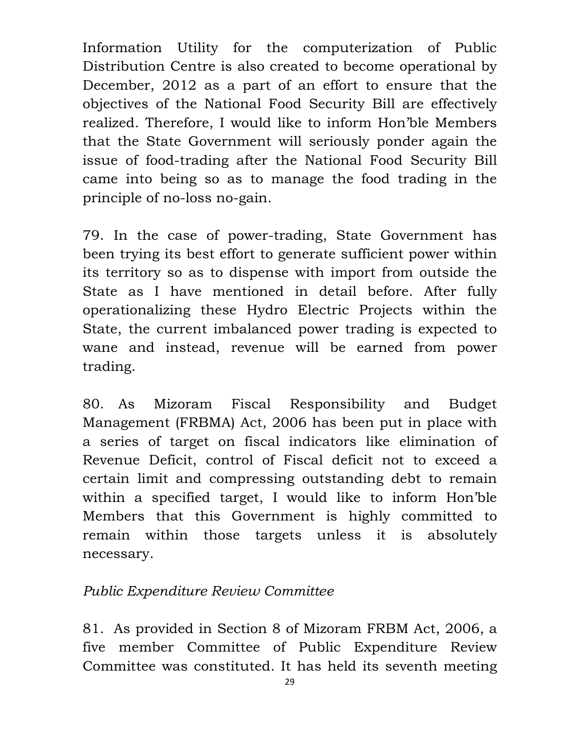Information Utility for the computerization of Public Distribution Centre is also created to become operational by December, 2012 as a part of an effort to ensure that the objectives of the National Food Security Bill are effectively realized. Therefore, I would like to inform Hon'ble Members that the State Government will seriously ponder again the issue of food-trading after the National Food Security Bill came into being so as to manage the food trading in the principle of no-loss no-gain.

79. In the case of power-trading, State Government has been trying its best effort to generate sufficient power within its territory so as to dispense with import from outside the State as I have mentioned in detail before. After fully operationalizing these Hydro Electric Projects within the State, the current imbalanced power trading is expected to wane and instead, revenue will be earned from power trading.

80. As Mizoram Fiscal Responsibility and Budget Management (FRBMA) Act, 2006 has been put in place with a series of target on fiscal indicators like elimination of Revenue Deficit, control of Fiscal deficit not to exceed a certain limit and compressing outstanding debt to remain within a specified target, I would like to inform Hon'ble Members that this Government is highly committed to remain within those targets unless it is absolutely necessary.

#### Public Expenditure Review Committee

81. As provided in Section 8 of Mizoram FRBM Act, 2006, a five member Committee of Public Expenditure Review Committee was constituted. It has held its seventh meeting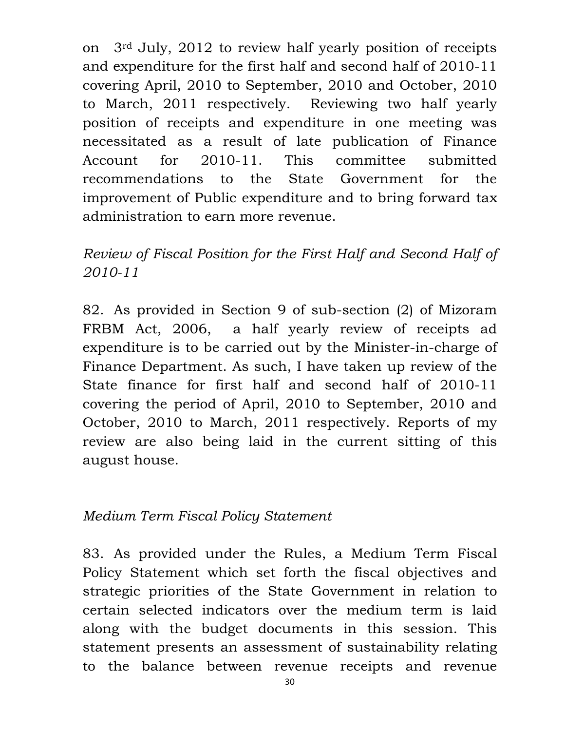on 3rd July, 2012 to review half yearly position of receipts and expenditure for the first half and second half of 2010-11 covering April, 2010 to September, 2010 and October, 2010 to March, 2011 respectively. Reviewing two half yearly position of receipts and expenditure in one meeting was necessitated as a result of late publication of Finance Account for 2010-11. This committee submitted recommendations to the State Government for the improvement of Public expenditure and to bring forward tax administration to earn more revenue.

Review of Fiscal Position for the First Half and Second Half of 2010-11

82. As provided in Section 9 of sub-section (2) of Mizoram FRBM Act, 2006, a half yearly review of receipts ad expenditure is to be carried out by the Minister-in-charge of Finance Department. As such, I have taken up review of the State finance for first half and second half of 2010-11 covering the period of April, 2010 to September, 2010 and October, 2010 to March, 2011 respectively. Reports of my review are also being laid in the current sitting of this august house.

#### Medium Term Fiscal Policy Statement

83. As provided under the Rules, a Medium Term Fiscal Policy Statement which set forth the fiscal objectives and strategic priorities of the State Government in relation to certain selected indicators over the medium term is laid along with the budget documents in this session. This statement presents an assessment of sustainability relating to the balance between revenue receipts and revenue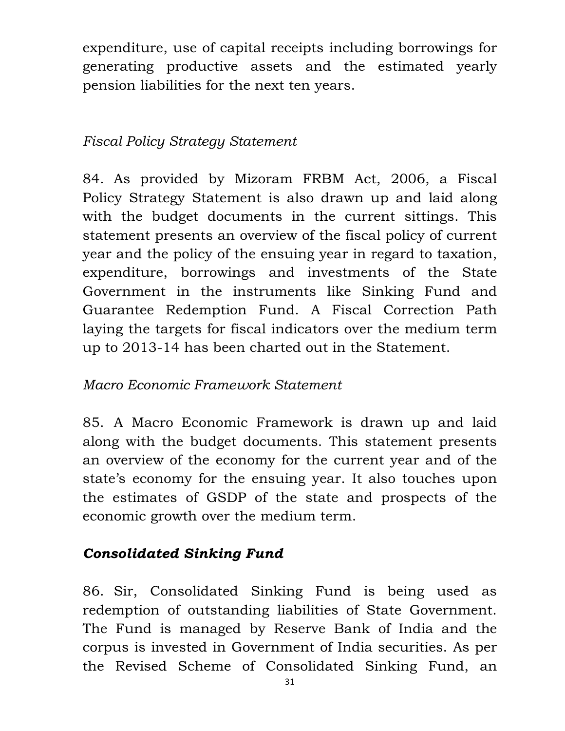expenditure, use of capital receipts including borrowings for generating productive assets and the estimated yearly pension liabilities for the next ten years.

## Fiscal Policy Strategy Statement

84. As provided by Mizoram FRBM Act, 2006, a Fiscal Policy Strategy Statement is also drawn up and laid along with the budget documents in the current sittings. This statement presents an overview of the fiscal policy of current year and the policy of the ensuing year in regard to taxation, expenditure, borrowings and investments of the State Government in the instruments like Sinking Fund and Guarantee Redemption Fund. A Fiscal Correction Path laying the targets for fiscal indicators over the medium term up to 2013-14 has been charted out in the Statement.

## Macro Economic Framework Statement

85. A Macro Economic Framework is drawn up and laid along with the budget documents. This statement presents an overview of the economy for the current year and of the state's economy for the ensuing year. It also touches upon the estimates of GSDP of the state and prospects of the economic growth over the medium term.

#### Consolidated Sinking Fund

86. Sir, Consolidated Sinking Fund is being used as redemption of outstanding liabilities of State Government. The Fund is managed by Reserve Bank of India and the corpus is invested in Government of India securities. As per the Revised Scheme of Consolidated Sinking Fund, an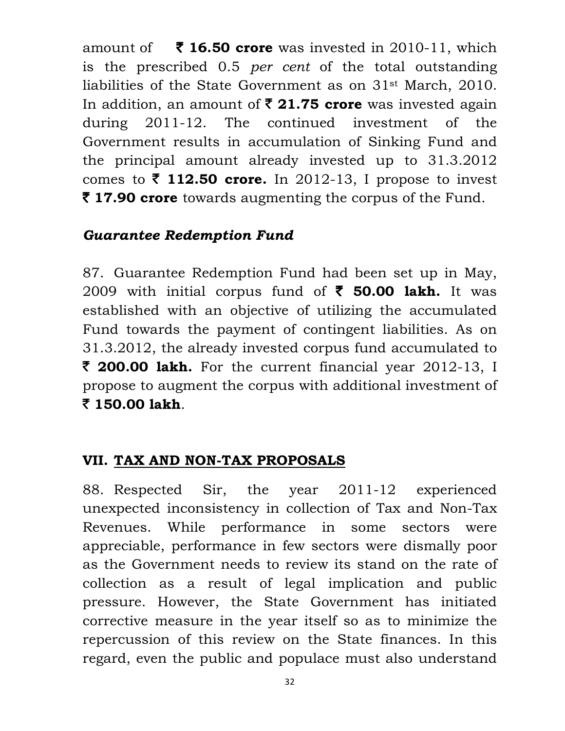amount of  $\overline{\mathbf{z}}$  16.50 crore was invested in 2010-11, which is the prescribed 0.5 per cent of the total outstanding liabilities of the State Government as on 31st March, 2010. In addition, an amount of  $\bar{\tau}$  21.75 crore was invested again during 2011-12. The continued investment of the Government results in accumulation of Sinking Fund and the principal amount already invested up to 31.3.2012 comes to  $\bar{\tau}$  112.50 crore. In 2012-13, I propose to invest  $\bar{\tau}$  **17.90 crore** towards augmenting the corpus of the Fund.

#### Guarantee Redemption Fund

87. Guarantee Redemption Fund had been set up in May, 2009 with initial corpus fund of  $\bar{\phantom{1}}$  50.00 lakh. It was established with an objective of utilizing the accumulated Fund towards the payment of contingent liabilities. As on 31.3.2012, the already invested corpus fund accumulated to  $\bar{\tau}$  **200.00 lakh.** For the current financial year 2012-13, I propose to augment the corpus with additional investment of ` 150.00 lakh.

#### VII. TAX AND NON-TAX PROPOSALS

88. Respected Sir, the year 2011-12 experienced unexpected inconsistency in collection of Tax and Non-Tax Revenues. While performance in some sectors were appreciable, performance in few sectors were dismally poor as the Government needs to review its stand on the rate of collection as a result of legal implication and public pressure. However, the State Government has initiated corrective measure in the year itself so as to minimize the repercussion of this review on the State finances. In this regard, even the public and populace must also understand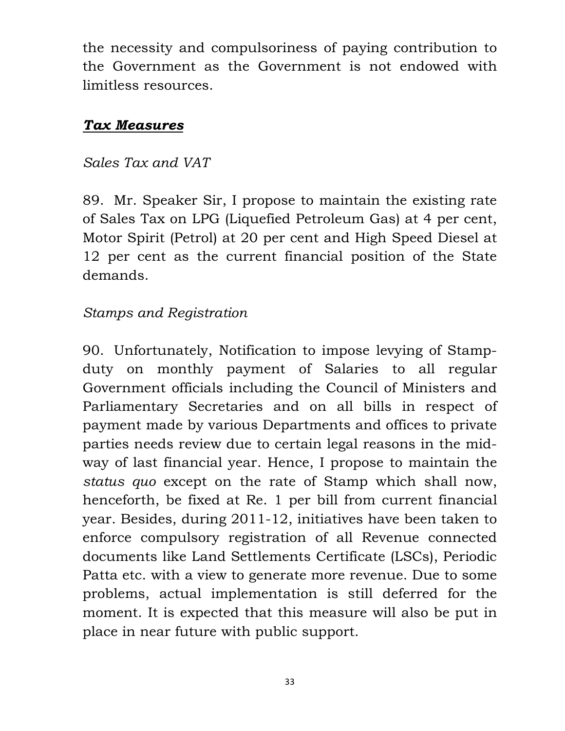the necessity and compulsoriness of paying contribution to the Government as the Government is not endowed with limitless resources.

#### Tax Measures

#### Sales Tax and VAT

89. Mr. Speaker Sir, I propose to maintain the existing rate of Sales Tax on LPG (Liquefied Petroleum Gas) at 4 per cent, Motor Spirit (Petrol) at 20 per cent and High Speed Diesel at 12 per cent as the current financial position of the State demands.

# Stamps and Registration

90. Unfortunately, Notification to impose levying of Stampduty on monthly payment of Salaries to all regular Government officials including the Council of Ministers and Parliamentary Secretaries and on all bills in respect of payment made by various Departments and offices to private parties needs review due to certain legal reasons in the midway of last financial year. Hence, I propose to maintain the status quo except on the rate of Stamp which shall now, henceforth, be fixed at Re. 1 per bill from current financial year. Besides, during 2011-12, initiatives have been taken to enforce compulsory registration of all Revenue connected documents like Land Settlements Certificate (LSCs), Periodic Patta etc. with a view to generate more revenue. Due to some problems, actual implementation is still deferred for the moment. It is expected that this measure will also be put in place in near future with public support.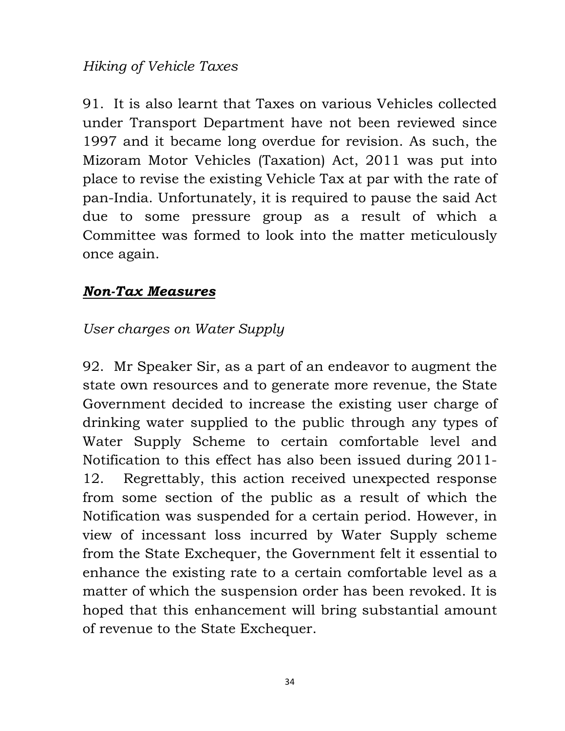#### Hiking of Vehicle Taxes

91. It is also learnt that Taxes on various Vehicles collected under Transport Department have not been reviewed since 1997 and it became long overdue for revision. As such, the Mizoram Motor Vehicles (Taxation) Act, 2011 was put into place to revise the existing Vehicle Tax at par with the rate of pan-India. Unfortunately, it is required to pause the said Act due to some pressure group as a result of which a Committee was formed to look into the matter meticulously once again.

#### Non-Tax Measures

### User charges on Water Supply

92. Mr Speaker Sir, as a part of an endeavor to augment the state own resources and to generate more revenue, the State Government decided to increase the existing user charge of drinking water supplied to the public through any types of Water Supply Scheme to certain comfortable level and Notification to this effect has also been issued during 2011- 12. Regrettably, this action received unexpected response from some section of the public as a result of which the Notification was suspended for a certain period. However, in view of incessant loss incurred by Water Supply scheme from the State Exchequer, the Government felt it essential to enhance the existing rate to a certain comfortable level as a matter of which the suspension order has been revoked. It is hoped that this enhancement will bring substantial amount of revenue to the State Exchequer.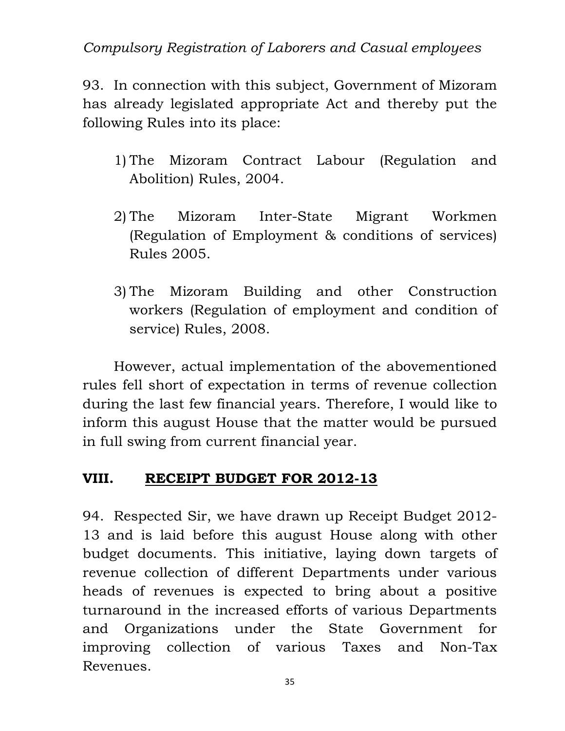## Compulsory Registration of Laborers and Casual employees

93. In connection with this subject, Government of Mizoram has already legislated appropriate Act and thereby put the following Rules into its place:

- 1) The Mizoram Contract Labour (Regulation and Abolition) Rules, 2004.
- 2) The Mizoram Inter-State Migrant Workmen (Regulation of Employment & conditions of services) Rules 2005.
- 3) The Mizoram Building and other Construction workers (Regulation of employment and condition of service) Rules, 2008.

However, actual implementation of the abovementioned rules fell short of expectation in terms of revenue collection during the last few financial years. Therefore, I would like to inform this august House that the matter would be pursued in full swing from current financial year.

#### VIII. RECEIPT BUDGET FOR 2012-13

94. Respected Sir, we have drawn up Receipt Budget 2012- 13 and is laid before this august House along with other budget documents. This initiative, laying down targets of revenue collection of different Departments under various heads of revenues is expected to bring about a positive turnaround in the increased efforts of various Departments and Organizations under the State Government for improving collection of various Taxes and Non-Tax Revenues.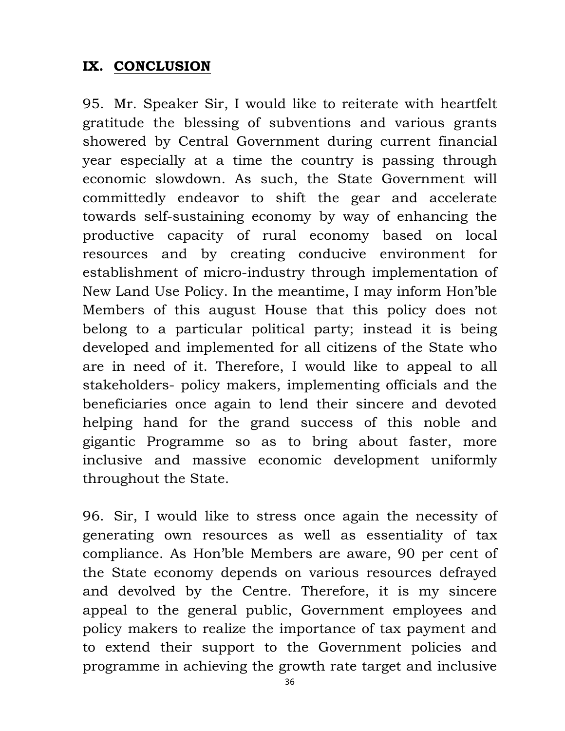### IX. CONCLUSION

95. Mr. Speaker Sir, I would like to reiterate with heartfelt gratitude the blessing of subventions and various grants showered by Central Government during current financial year especially at a time the country is passing through economic slowdown. As such, the State Government will committedly endeavor to shift the gear and accelerate towards self-sustaining economy by way of enhancing the productive capacity of rural economy based on local resources and by creating conducive environment for establishment of micro-industry through implementation of New Land Use Policy. In the meantime, I may inform Hon'ble Members of this august House that this policy does not belong to a particular political party; instead it is being developed and implemented for all citizens of the State who are in need of it. Therefore, I would like to appeal to all stakeholders- policy makers, implementing officials and the beneficiaries once again to lend their sincere and devoted helping hand for the grand success of this noble and gigantic Programme so as to bring about faster, more inclusive and massive economic development uniformly throughout the State.

96. Sir, I would like to stress once again the necessity of generating own resources as well as essentiality of tax compliance. As Hon'ble Members are aware, 90 per cent of the State economy depends on various resources defrayed and devolved by the Centre. Therefore, it is my sincere appeal to the general public, Government employees and policy makers to realize the importance of tax payment and to extend their support to the Government policies and programme in achieving the growth rate target and inclusive